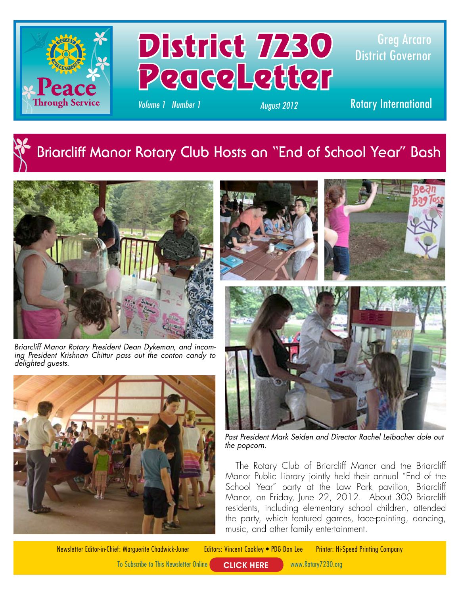

## District 7230 PeaceLetter

Greg Arcaro District Governor

*Volume 1 Number 1 August 2012* Rotary International

## **Briarcliff Manor Rotary Club Hosts an "End of School Year" Bash**



*Briarcliff Manor Rotary President Dean Dykeman, and incoming President Krishnan Chittur pass out the conton candy to delighted guests.*







*Past President Mark Seiden and Director Rachel Leibacher dole out the popcorn.*

The Rotary Club of Briarcliff Manor and the Briarcliff Manor Public Library jointly held their annual "End of the School Year" party at the Law Park pavilion, Briarcliff Manor, on Friday, June 22, 2012. About 300 Briarcliff residents, including elementary school children, attended the party, which featured games, face-painting, dancing, music, and other family entertainment.

Newsletter Editor-in-Chief: Marguerite Chadwick-Juner Editors: Vincent Coakley • PDG Don Lee Printer: Hi-Speed Printing Company

To Subscribe to This Newsletter Online **CLICK HERE** www.Rotary7230.org